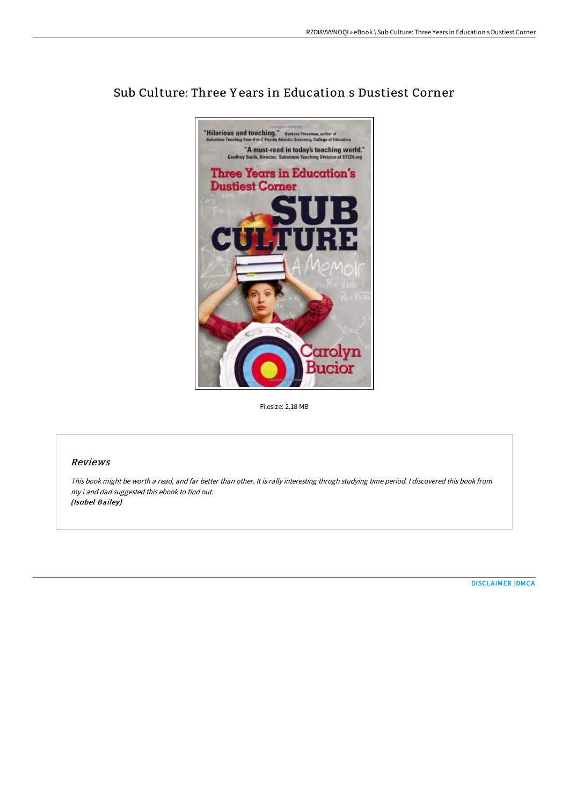

# Sub Culture: Three Y ears in Education s Dustiest Corner

Filesize: 2.18 MB

## Reviews

This book might be worth <sup>a</sup> read, and far better than other. It is rally interesting throgh studying time period. <sup>I</sup> discovered this book from my i and dad suggested this ebook to find out. (Isobel Bailey)

[DISCLAIMER](http://techno-pub.tech/disclaimer.html) | [DMCA](http://techno-pub.tech/dmca.html)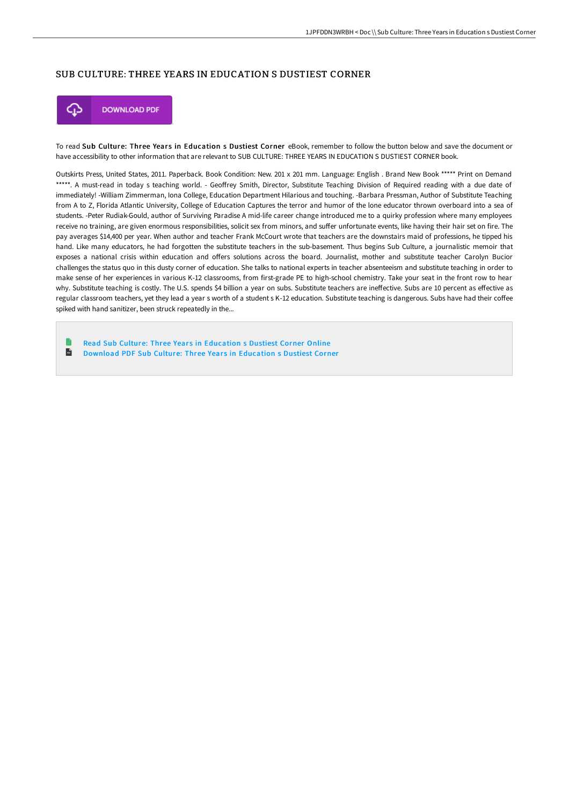## SUB CULTURE: THREE YEARS IN EDUCATION S DUSTIEST CORNER



To read Sub Culture: Three Years in Education s Dustiest Corner eBook, remember to follow the button below and save the document or have accessibility to other information that are relevant to SUB CULTURE: THREE YEARS IN EDUCATION S DUSTIEST CORNER book.

Outskirts Press, United States, 2011. Paperback. Book Condition: New. 201 x 201 mm. Language: English . Brand New Book \*\*\*\*\* Print on Demand \*\*\*\*\*. A must-read in today s teaching world. - Geoffrey Smith, Director, Substitute Teaching Division of Required reading with a due date of immediately! -William Zimmerman, Iona College, Education Department Hilarious and touching. -Barbara Pressman, Author of Substitute Teaching from A to Z, Florida Atlantic University, College of Education Captures the terror and humor of the lone educator thrown overboard into a sea of students. -Peter Rudiak-Gould, author of Surviving Paradise A mid-life career change introduced me to a quirky profession where many employees receive no training, are given enormous responsibilities, solicit sex from minors, and suffer unfortunate events, like having their hair set on fire. The pay averages \$14,400 per year. When author and teacher Frank McCourt wrote that teachers are the downstairs maid of professions, he tipped his hand. Like many educators, he had forgotten the substitute teachers in the sub-basement. Thus begins Sub Culture, a journalistic memoir that exposes a national crisis within education and offers solutions across the board. Journalist, mother and substitute teacher Carolyn Bucior challenges the status quo in this dusty corner of education. She talks to national experts in teacher absenteeism and substitute teaching in order to make sense of her experiences in various K-12 classrooms, from first-grade PE to high-school chemistry. Take your seat in the front row to hear why. Substitute teaching is costly. The U.S. spends \$4 billion a year on subs. Substitute teachers are ineffective. Subs are 10 percent as effective as regular classroom teachers, yet they lead a year s worth of a student s K-12 education. Substitute teaching is dangerous. Subs have had their coffee spiked with hand sanitizer, been struck repeatedly in the...

Read Sub Culture: Three Years in [Education](http://techno-pub.tech/sub-culture-three-years-in-education-s-dustiest-.html) s Dustiest Corner Online  $\mathbb{R}$ Download PDF Sub Culture: Three Years in [Education](http://techno-pub.tech/sub-culture-three-years-in-education-s-dustiest-.html) s Dustiest Corner